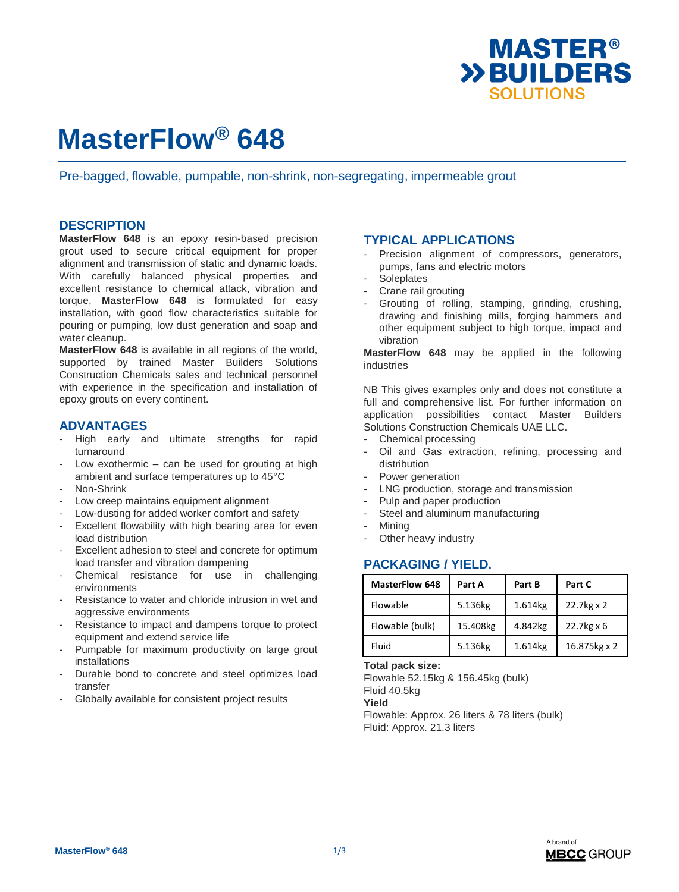

# **MasterFlow® 648**

Pre-bagged, flowable, pumpable, non-shrink, non-segregating, impermeable grout

### **DESCRIPTION**

**MasterFlow 648** is an epoxy resin-based precision grout used to secure critical equipment for proper alignment and transmission of static and dynamic loads. With carefully balanced physical properties and excellent resistance to chemical attack, vibration and torque, **MasterFlow 648** is formulated for easy installation, with good flow characteristics suitable for pouring or pumping, low dust generation and soap and water cleanup.

**MasterFlow 648** is available in all regions of the world, supported by trained Master Builders Solutions Construction Chemicals sales and technical personnel with experience in the specification and installation of epoxy grouts on every continent.

### **ADVANTAGES**

- High early and ultimate strengths for rapid turnaround
- Low exothermic  $-$  can be used for grouting at high ambient and surface temperatures up to 45°C
- Non-Shrink
- Low creep maintains equipment alignment
- Low-dusting for added worker comfort and safety
- Excellent flowability with high bearing area for even load distribution
- Excellent adhesion to steel and concrete for optimum load transfer and vibration dampening
- Chemical resistance for use in challenging environments
- Resistance to water and chloride intrusion in wet and aggressive environments
- Resistance to impact and dampens torque to protect equipment and extend service life
- Pumpable for maximum productivity on large grout installations
- Durable bond to concrete and steel optimizes load transfer
- Globally available for consistent project results

### **TYPICAL APPLICATIONS**

- Precision alignment of compressors, generators, pumps, fans and electric motors
- **Soleplates**
- Crane rail grouting
- Grouting of rolling, stamping, grinding, crushing, drawing and finishing mills, forging hammers and other equipment subject to high torque, impact and vibration

**MasterFlow 648** may be applied in the following industries

NB This gives examples only and does not constitute a full and comprehensive list. For further information on application possibilities contact Master Builders Solutions Construction Chemicals UAE LLC.

- Chemical processing
- Oil and Gas extraction, refining, processing and distribution
- Power generation
- LNG production, storage and transmission
- Pulp and paper production
- Steel and aluminum manufacturing
- **Mining**
- Other heavy industry

# **PACKAGING / YIELD.**

| <b>MasterFlow 648</b> | Part A   | Part B  | Part C               |
|-----------------------|----------|---------|----------------------|
| Flowable              | 5.136kg  | 1.614kg | 22.7kg x 2           |
| Flowable (bulk)       | 15.408kg | 4.842kg | $22.7$ kg $\times$ 6 |
| Fluid                 | 5.136kg  | 1.614kg | 16.875kg x 2         |

**Total pack size:**

Flowable 52.15kg & 156.45kg (bulk) Fluid 40.5kg **Yield** Flowable: Approx. 26 liters & 78 liters (bulk) Fluid: Approx. 21.3 liters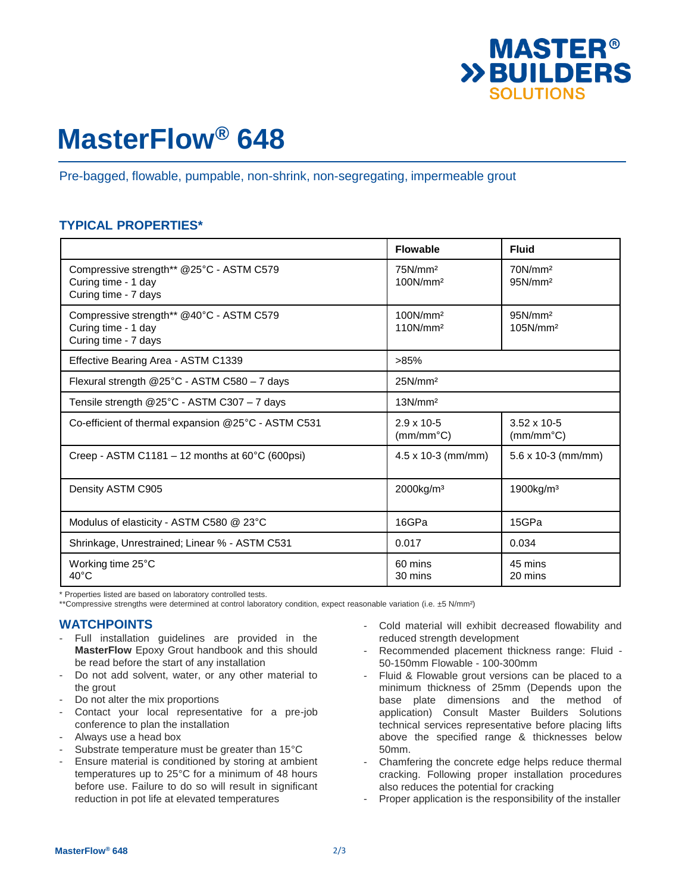

# **MasterFlow® 648**

Pre-bagged, flowable, pumpable, non-shrink, non-segregating, impermeable grout

# **TYPICAL PROPERTIES\***

|                                                                                         | <b>Flowable</b>                              | <b>Fluid</b>                                |  |
|-----------------------------------------------------------------------------------------|----------------------------------------------|---------------------------------------------|--|
| Compressive strength** @25°C - ASTM C579<br>Curing time - 1 day<br>Curing time - 7 days | 75N/mm <sup>2</sup><br>100N/mm <sup>2</sup>  | 70N/mm <sup>2</sup><br>95N/mm <sup>2</sup>  |  |
| Compressive strength** @40°C - ASTM C579<br>Curing time - 1 day<br>Curing time - 7 days | 100N/mm <sup>2</sup><br>110N/mm <sup>2</sup> | 95N/mm <sup>2</sup><br>105N/mm <sup>2</sup> |  |
| Effective Bearing Area - ASTM C1339                                                     | >85%                                         |                                             |  |
| Flexural strength @25°C - ASTM C580 - 7 days                                            | 25N/mm <sup>2</sup>                          |                                             |  |
| Tensile strength @25°C - ASTM C307 - 7 days                                             | 13N/mm <sup>2</sup>                          |                                             |  |
| Co-efficient of thermal expansion @25°C - ASTM C531                                     | $2.9 \times 10 - 5$<br>$(mm/mm^{\circ}C)$    | $3.52 \times 10 - 5$<br>$(mm/mm^{\circ}C)$  |  |
| Creep - ASTM C1181 – 12 months at $60^{\circ}$ C (600psi)                               | $4.5 \times 10-3$ (mm/mm)                    | $5.6 \times 10-3$ (mm/mm)                   |  |
| Density ASTM C905                                                                       | 2000kg/m <sup>3</sup>                        | $1900$ kg/m <sup>3</sup>                    |  |
| Modulus of elasticity - ASTM C580 @ 23°C                                                | 16GPa                                        | 15GPa                                       |  |
| Shrinkage, Unrestrained; Linear % - ASTM C531                                           | 0.017                                        | 0.034                                       |  |
| Working time 25°C<br>$40^{\circ}$ C                                                     | 60 mins<br>30 mins                           | 45 mins<br>20 mins                          |  |

\* Properties listed are based on laboratory controlled tests.

\*\*Compressive strengths were determined at control laboratory condition, expect reasonable variation (i.e. ±5 N/mm²)

### **WATCHPOINTS**

- Full installation guidelines are provided in the **MasterFlow** Epoxy Grout handbook and this should be read before the start of any installation
- Do not add solvent, water, or any other material to the grout
- Do not alter the mix proportions
- Contact your local representative for a pre-job conference to plan the installation
- Always use a head box
- Substrate temperature must be greater than 15°C
- Ensure material is conditioned by storing at ambient temperatures up to 25°C for a minimum of 48 hours before use. Failure to do so will result in significant reduction in pot life at elevated temperatures
- Cold material will exhibit decreased flowability and reduced strength development
- Recommended placement thickness range: Fluid 50-150mm Flowable - 100-300mm
- Fluid & Flowable grout versions can be placed to a minimum thickness of 25mm (Depends upon the base plate dimensions and the method of application) Consult Master Builders Solutions technical services representative before placing lifts above the specified range & thicknesses below 50mm.
- Chamfering the concrete edge helps reduce thermal cracking. Following proper installation procedures also reduces the potential for cracking
- Proper application is the responsibility of the installer